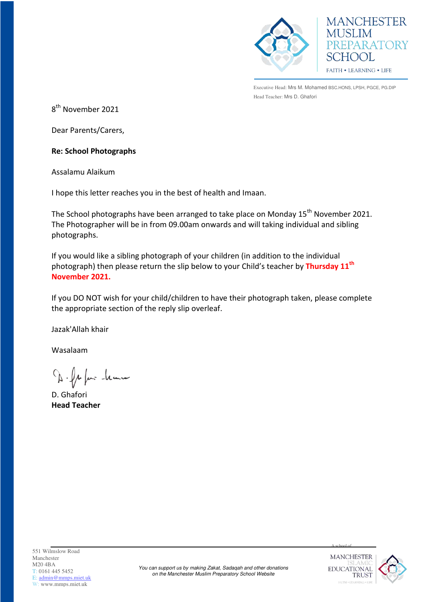



Executive Head: Mrs M. Mohamed BSC.HONS, LPSH, PGCE, PG.DIP Head Teacher: Mrs D. Ghafori

8<sup>th</sup> November 2021

Dear Parents/Carers,

## **Re: School Photographs**

Assalamu Alaikum

I hope this letter reaches you in the best of health and Imaan.

The School photographs have been arranged to take place on Monday 15<sup>th</sup> November 2021. The Photographer will be in from 09.00am onwards and will taking individual and sibling photographs.

If you would like a sibling photograph of your children (in addition to the individual photograph) then please return the slip below to your Child's teacher by **Thursday 11th November 2021.**

If you DO NOT wish for your child/children to have their photograph taken, please complete the appropriate section of the reply slip overleaf.

Jazak'Allah khair

Wasalaam

D. fr fair -leann

D. Ghafori **Head Teacher**